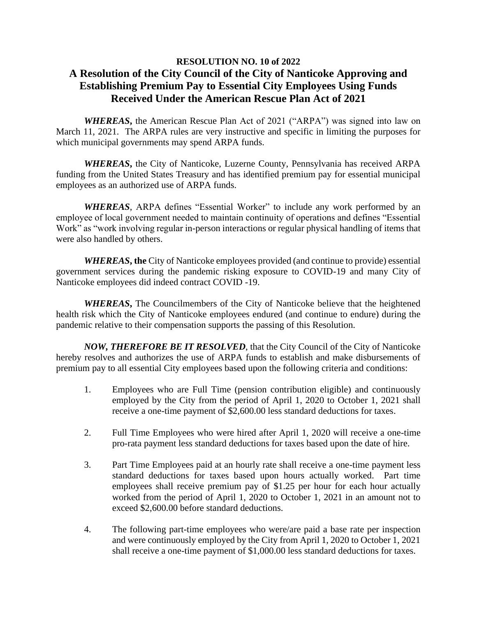## **RESOLUTION NO. 10 of 2022 A Resolution of the City Council of the City of Nanticoke Approving and Establishing Premium Pay to Essential City Employees Using Funds Received Under the American Rescue Plan Act of 2021**

*WHEREAS***,** the American Rescue Plan Act of 2021 ("ARPA") was signed into law on March 11, 2021. The ARPA rules are very instructive and specific in limiting the purposes for which municipal governments may spend ARPA funds.

*WHEREAS***,** the City of Nanticoke, Luzerne County, Pennsylvania has received ARPA funding from the United States Treasury and has identified premium pay for essential municipal employees as an authorized use of ARPA funds.

*WHEREAS*, ARPA defines "Essential Worker" to include any work performed by an employee of local government needed to maintain continuity of operations and defines "Essential Work" as "work involving regular in-person interactions or regular physical handling of items that were also handled by others.

*WHEREAS***, the** City of Nanticoke employees provided (and continue to provide) essential government services during the pandemic risking exposure to COVID-19 and many City of Nanticoke employees did indeed contract COVID -19.

*WHEREAS***,** The Councilmembers of the City of Nanticoke believe that the heightened health risk which the City of Nanticoke employees endured (and continue to endure) during the pandemic relative to their compensation supports the passing of this Resolution.

*NOW, THEREFORE BE IT RESOLVED*, that the City Council of the City of Nanticoke hereby resolves and authorizes the use of ARPA funds to establish and make disbursements of premium pay to all essential City employees based upon the following criteria and conditions:

- 1. Employees who are Full Time (pension contribution eligible) and continuously employed by the City from the period of April 1, 2020 to October 1, 2021 shall receive a one-time payment of \$2,600.00 less standard deductions for taxes.
- 2. Full Time Employees who were hired after April 1, 2020 will receive a one-time pro-rata payment less standard deductions for taxes based upon the date of hire.
- 3. Part Time Employees paid at an hourly rate shall receive a one-time payment less standard deductions for taxes based upon hours actually worked. Part time employees shall receive premium pay of \$1.25 per hour for each hour actually worked from the period of April 1, 2020 to October 1, 2021 in an amount not to exceed \$2,600.00 before standard deductions.
- 4. The following part-time employees who were/are paid a base rate per inspection and were continuously employed by the City from April 1, 2020 to October 1, 2021 shall receive a one-time payment of \$1,000.00 less standard deductions for taxes.